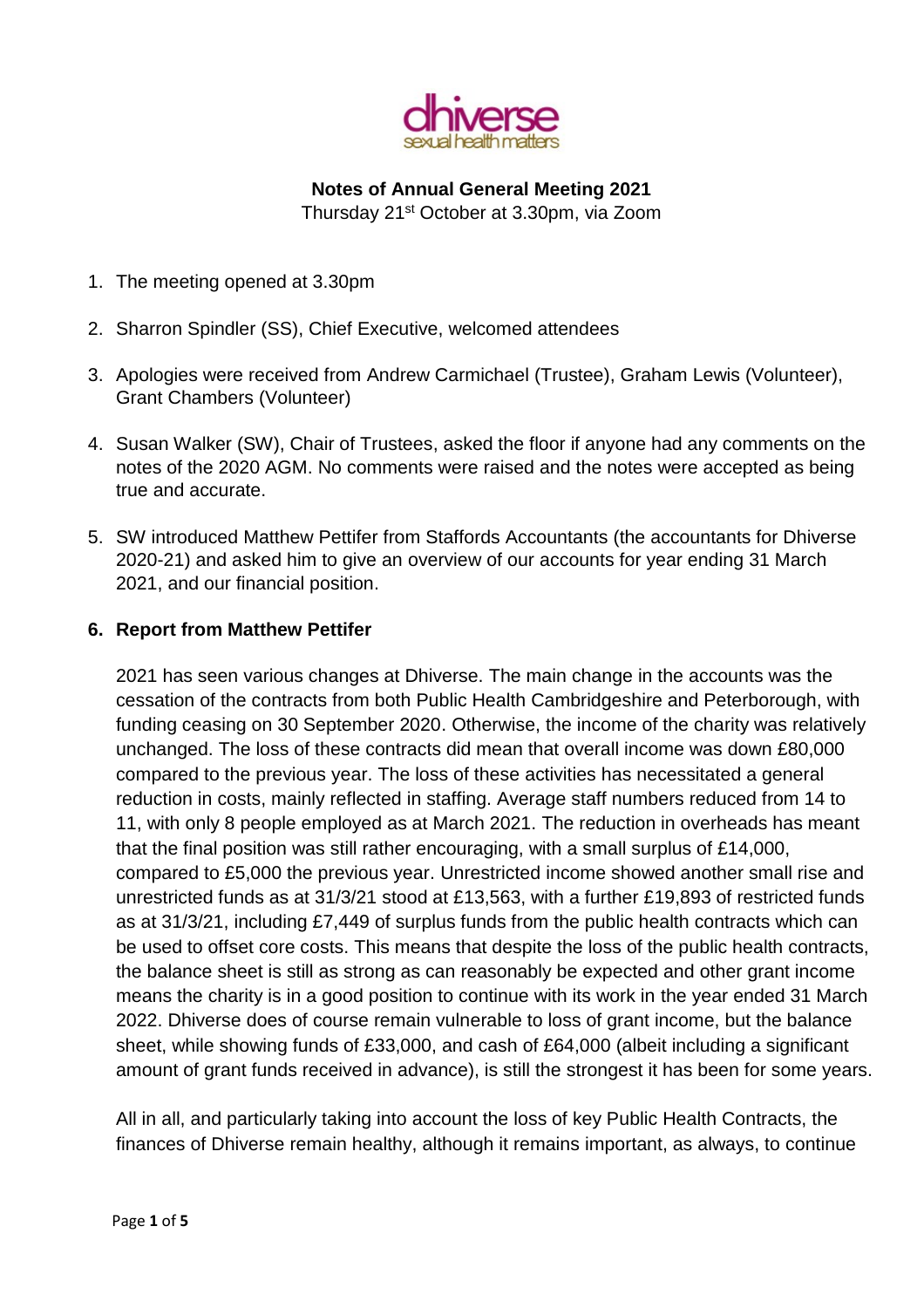

# **Notes of Annual General Meeting 2021**

Thursday 21st October at 3.30pm, via Zoom

- 1. The meeting opened at 3.30pm
- 2. Sharron Spindler (SS), Chief Executive, welcomed attendees
- 3. Apologies were received from Andrew Carmichael (Trustee), Graham Lewis (Volunteer), Grant Chambers (Volunteer)
- 4. Susan Walker (SW), Chair of Trustees, asked the floor if anyone had any comments on the notes of the 2020 AGM. No comments were raised and the notes were accepted as being true and accurate.
- 5. SW introduced Matthew Pettifer from Staffords Accountants (the accountants for Dhiverse 2020-21) and asked him to give an overview of our accounts for year ending 31 March 2021, and our financial position.

# **6. Report from Matthew Pettifer**

2021 has seen various changes at Dhiverse. The main change in the accounts was the cessation of the contracts from both Public Health Cambridgeshire and Peterborough, with funding ceasing on 30 September 2020. Otherwise, the income of the charity was relatively unchanged. The loss of these contracts did mean that overall income was down £80,000 compared to the previous year. The loss of these activities has necessitated a general reduction in costs, mainly reflected in staffing. Average staff numbers reduced from 14 to 11, with only 8 people employed as at March 2021. The reduction in overheads has meant that the final position was still rather encouraging, with a small surplus of £14,000, compared to £5,000 the previous year. Unrestricted income showed another small rise and unrestricted funds as at 31/3/21 stood at £13,563, with a further £19,893 of restricted funds as at 31/3/21, including £7,449 of surplus funds from the public health contracts which can be used to offset core costs. This means that despite the loss of the public health contracts, the balance sheet is still as strong as can reasonably be expected and other grant income means the charity is in a good position to continue with its work in the year ended 31 March 2022. Dhiverse does of course remain vulnerable to loss of grant income, but the balance sheet, while showing funds of £33,000, and cash of £64,000 (albeit including a significant amount of grant funds received in advance), is still the strongest it has been for some years.

All in all, and particularly taking into account the loss of key Public Health Contracts, the finances of Dhiverse remain healthy, although it remains important, as always, to continue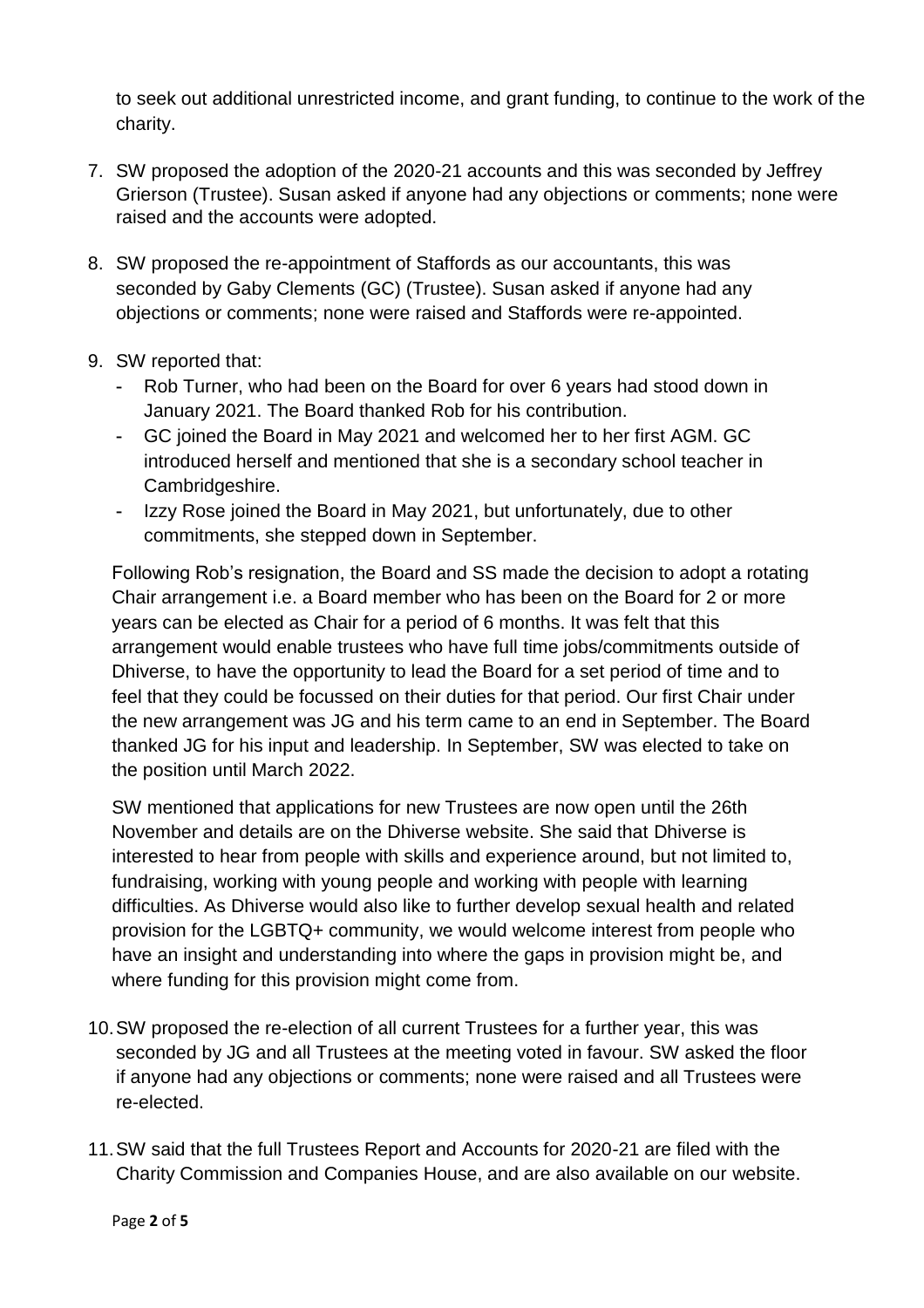to seek out additional unrestricted income, and grant funding, to continue to the work of the charity.

- 7. SW proposed the adoption of the 2020-21 accounts and this was seconded by Jeffrey Grierson (Trustee). Susan asked if anyone had any objections or comments; none were raised and the accounts were adopted.
- 8. SW proposed the re-appointment of Staffords as our accountants, this was seconded by Gaby Clements (GC) (Trustee). Susan asked if anyone had any objections or comments; none were raised and Staffords were re-appointed.
- 9. SW reported that:
	- Rob Turner, who had been on the Board for over 6 years had stood down in January 2021. The Board thanked Rob for his contribution.
	- GC joined the Board in May 2021 and welcomed her to her first AGM. GC introduced herself and mentioned that she is a secondary school teacher in Cambridgeshire.
	- Izzy Rose joined the Board in May 2021, but unfortunately, due to other commitments, she stepped down in September.

Following Rob's resignation, the Board and SS made the decision to adopt a rotating Chair arrangement i.e. a Board member who has been on the Board for 2 or more years can be elected as Chair for a period of 6 months. It was felt that this arrangement would enable trustees who have full time jobs/commitments outside of Dhiverse, to have the opportunity to lead the Board for a set period of time and to feel that they could be focussed on their duties for that period. Our first Chair under the new arrangement was JG and his term came to an end in September. The Board thanked JG for his input and leadership. In September, SW was elected to take on the position until March 2022.

SW mentioned that applications for new Trustees are now open until the 26th November and details are on the Dhiverse website. She said that Dhiverse is interested to hear from people with skills and experience around, but not limited to, fundraising, working with young people and working with people with learning difficulties. As Dhiverse would also like to further develop sexual health and related provision for the LGBTQ+ community, we would welcome interest from people who have an insight and understanding into where the gaps in provision might be, and where funding for this provision might come from.

- 10.SW proposed the re-election of all current Trustees for a further year, this was seconded by JG and all Trustees at the meeting voted in favour. SW asked the floor if anyone had any objections or comments; none were raised and all Trustees were re-elected.
- 11.SW said that the full Trustees Report and Accounts for 2020-21 are filed with the Charity Commission and Companies House, and are also available on our website.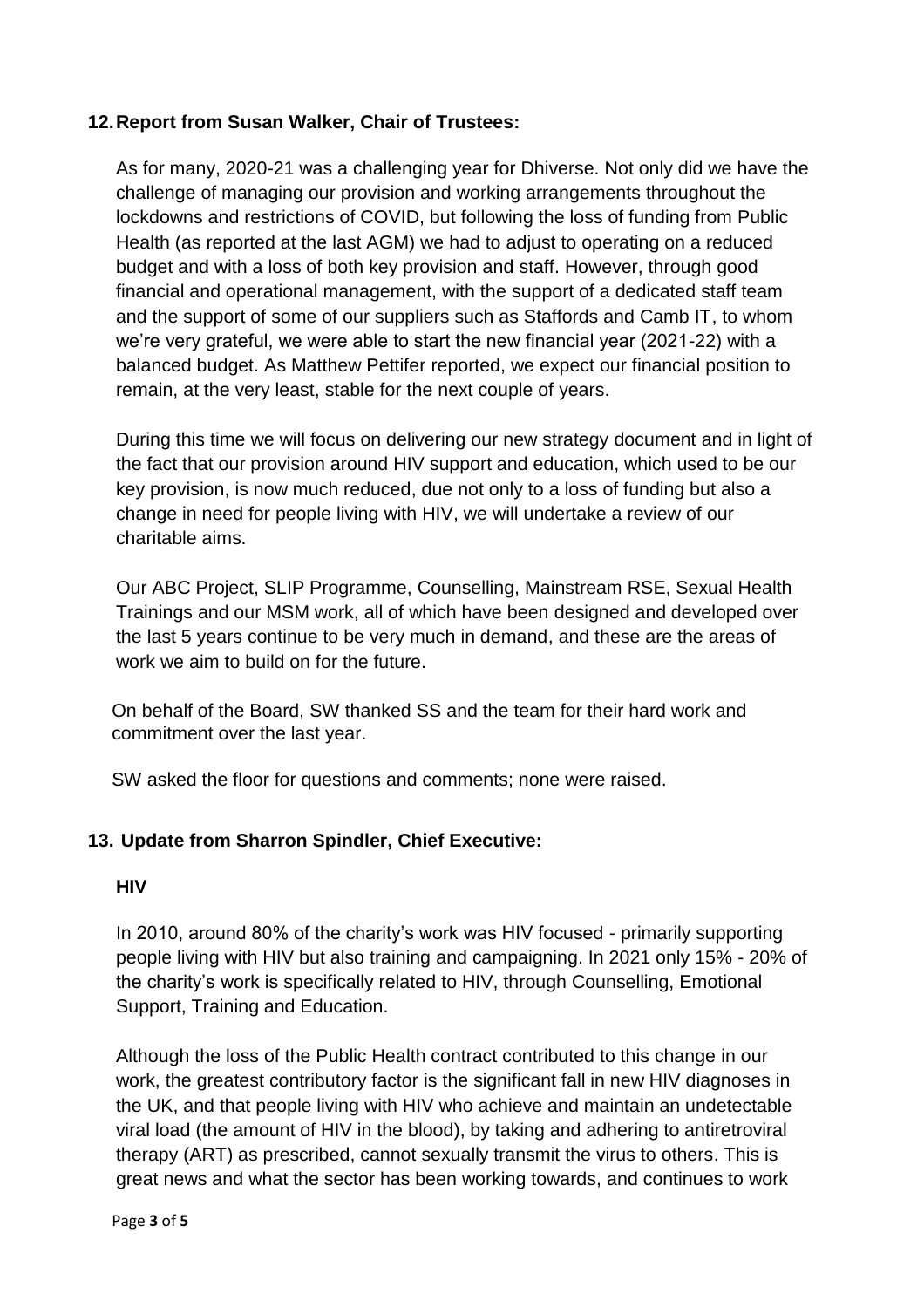# **12.Report from Susan Walker, Chair of Trustees:**

As for many, 2020-21 was a challenging year for Dhiverse. Not only did we have the challenge of managing our provision and working arrangements throughout the lockdowns and restrictions of COVID, but following the loss of funding from Public Health (as reported at the last AGM) we had to adjust to operating on a reduced budget and with a loss of both key provision and staff. However, through good financial and operational management, with the support of a dedicated staff team and the support of some of our suppliers such as Staffords and Camb IT, to whom we're very grateful, we were able to start the new financial year (2021-22) with a balanced budget. As Matthew Pettifer reported, we expect our financial position to remain, at the very least, stable for the next couple of years.

During this time we will focus on delivering our new strategy document and in light of the fact that our provision around HIV support and education, which used to be our key provision, is now much reduced, due not only to a loss of funding but also a change in need for people living with HIV, we will undertake a review of our charitable aims.

Our ABC Project, SLIP Programme, Counselling, Mainstream RSE, Sexual Health Trainings and our MSM work, all of which have been designed and developed over the last 5 years continue to be very much in demand, and these are the areas of work we aim to build on for the future.

On behalf of the Board, SW thanked SS and the team for their hard work and commitment over the last year.

SW asked the floor for questions and comments; none were raised.

# **13. Update from Sharron Spindler, Chief Executive:**

### **HIV**

In 2010, around 80% of the charity's work was HIV focused - primarily supporting people living with HIV but also training and campaigning. In 2021 only 15% - 20% of the charity's work is specifically related to HIV, through Counselling, Emotional Support, Training and Education.

Although the loss of the Public Health contract contributed to this change in our work, the greatest contributory factor is the significant fall in new HIV diagnoses in the UK, and that people living with HIV who achieve and maintain an undetectable viral load (the amount of HIV in the blood), by taking and adhering to antiretroviral therapy (ART) as prescribed, cannot sexually transmit the virus to others. This is great news and what the sector has been working towards, and continues to work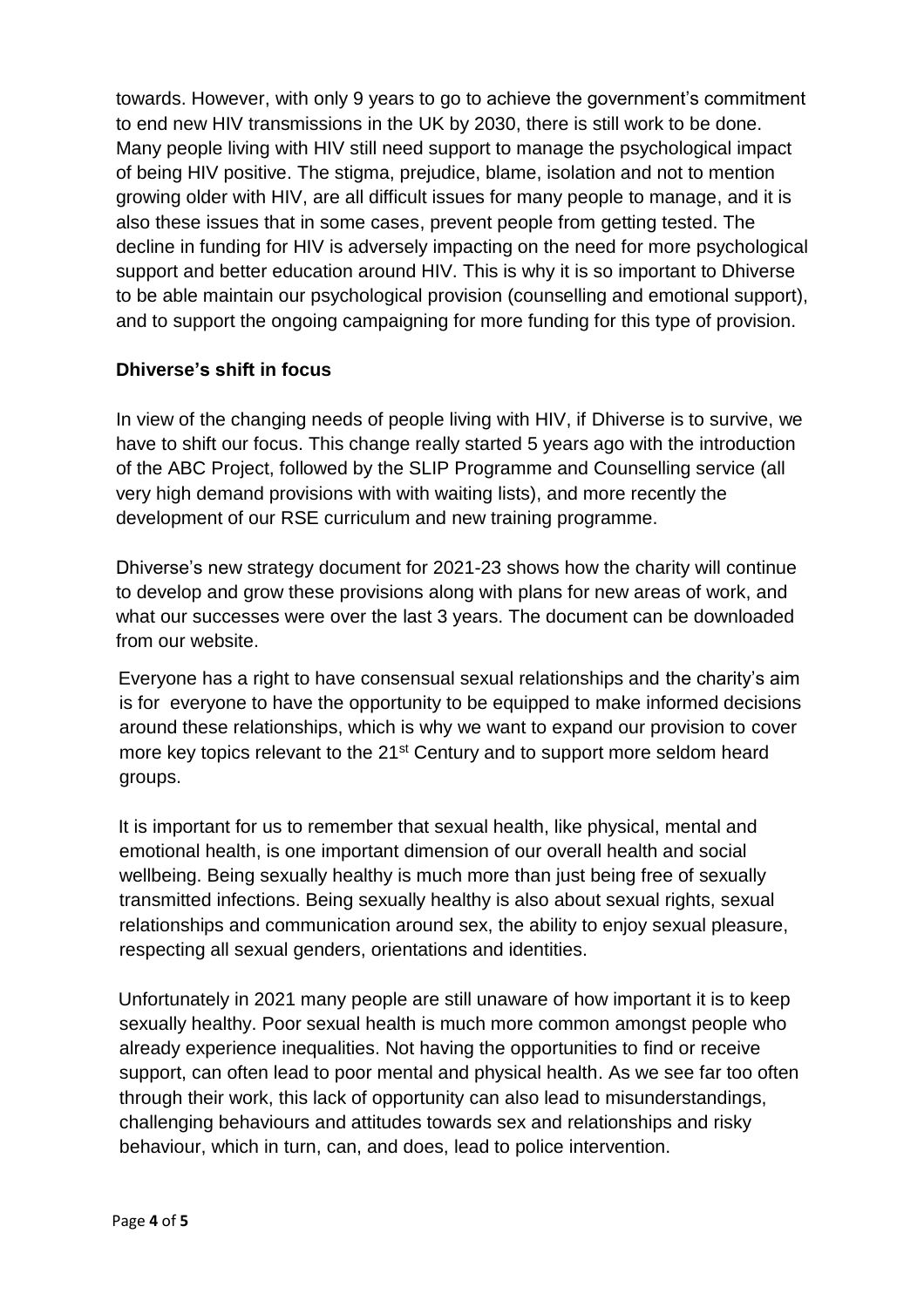towards. However, with only 9 years to go to achieve the government's commitment to end new HIV transmissions in the UK by 2030, there is still work to be done. Many people living with HIV still need support to manage the psychological impact of being HIV positive. The stigma, prejudice, blame, isolation and not to mention growing older with HIV, are all difficult issues for many people to manage, and it is also these issues that in some cases, prevent people from getting tested. The decline in funding for HIV is adversely impacting on the need for more psychological support and better education around HIV. This is why it is so important to Dhiverse to be able maintain our psychological provision (counselling and emotional support), and to support the ongoing campaigning for more funding for this type of provision.

# **Dhiverse's shift in focus**

In view of the changing needs of people living with HIV, if Dhiverse is to survive, we have to shift our focus. This change really started 5 years ago with the introduction of the ABC Project, followed by the SLIP Programme and Counselling service (all very high demand provisions with with waiting lists), and more recently the development of our RSE curriculum and new training programme.

Dhiverse's new strategy document for 2021-23 shows how the charity will continue to develop and grow these provisions along with plans for new areas of work, and what our successes were over the last 3 years. The document can be downloaded from our website.

Everyone has a right to have consensual sexual relationships and the charity's aim is for everyone to have the opportunity to be equipped to make informed decisions around these relationships, which is why we want to expand our provision to cover more key topics relevant to the 21<sup>st</sup> Century and to support more seldom heard groups.

It is important for us to remember that sexual health, like physical, mental and emotional health, is one important dimension of our overall health and social wellbeing. Being sexually healthy is much more than just being free of sexually transmitted infections. Being sexually healthy is also about sexual rights, sexual relationships and communication around sex, the ability to enjoy sexual pleasure, respecting all sexual genders, orientations and identities.

Unfortunately in 2021 many people are still unaware of how important it is to keep sexually healthy. Poor sexual health is much more common amongst people who already experience inequalities. Not having the opportunities to find or receive support, can often lead to poor mental and physical health. As we see far too often through their work, this lack of opportunity can also lead to misunderstandings, challenging behaviours and attitudes towards sex and relationships and risky behaviour, which in turn, can, and does, lead to police intervention.